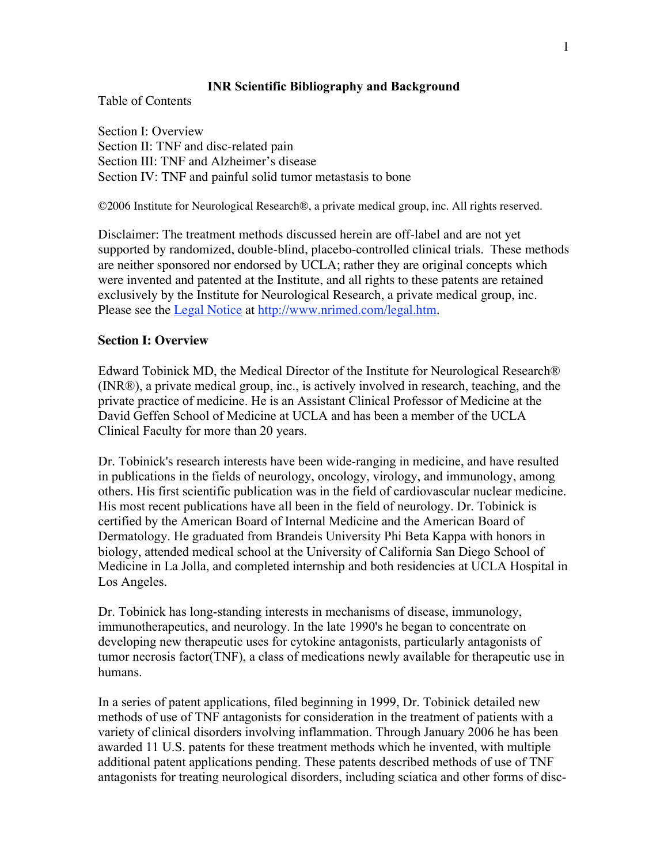# INR Scientific Bibliography and Background

Table of Contents

Section I: Overview Section II: TNF and disc-related pain Section III: TNF and Alzheimer's disease Section IV: TNF and painful solid tumor metastasis to bone

©2006 Institute for Neurological Research®, a private medical group, inc. All rights reserved.

Disclaimer: The treatment methods discussed herein are off-label and are not yet supported by randomized, double-blind, placebo-controlled clinical trials. These methods are neither sponsored nor endorsed by UCLA; rather they are original concepts which were invented and patented at the Institute, and all rights to these patents are retained exclusively by the Institute for Neurological Research, a private medical group, inc. Please see the Legal Notice at http://www.nrimed.com/legal.htm.

# **Section I: Overview**

Edward Tobinick MD, the Medical Director of the Institute for Neurological Research® (INR®), a private medical group, inc., is actively involved in research, teaching, and the private practice of medicine. He is an Assistant Clinical Professor of Medicine at the David Geffen School of Medicine at UCLA and has been a member of the UCLA Clinical Faculty for more than 20 years.

Dr. Tobinick's research interests have been wide-ranging in medicine, and have resulted in publications in the fields of neurology, oncology, virology, and immunology, among others. His first scientific publication was in the field of cardiovascular nuclear medicine. His most recent publications have all been in the field of neurology. Dr. Tobinick is certified by the American Board of Internal Medicine and the American Board of Dermatology. He graduated from Brandeis University Phi Beta Kappa with honors in biology, attended medical school at the University of California San Diego School of Medicine in La Jolla, and completed internship and both residencies at UCLA Hospital in Los Angeles.

Dr. Tobinick has long-standing interests in mechanisms of disease, immunology, immunotherapeutics, and neurology. In the late 1990's he began to concentrate on developing new therapeutic uses for cytokine antagonists, particularly antagonists of tumor necrosis factor(TNF), a class of medications newly available for therapeutic use in humans.

In a series of patent applications, filed beginning in 1999, Dr. Tobinick detailed new methods of use of TNF antagonists for consideration in the treatment of patients with a variety of clinical disorders involving inflammation. Through January 2006 he has been awarded 11 U.S. patents for these treatment methods which he invented, with multiple additional patent applications pending. These patents described methods of use of TNF antagonists for treating neurological disorders, including sciatica and other forms of disc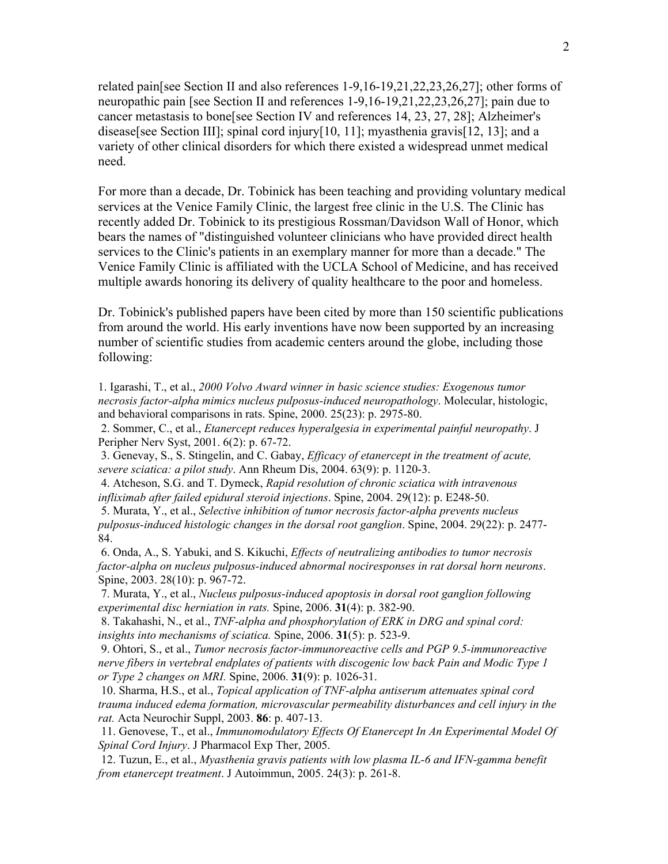related pain[see Section II and also references 1-9,16-19,21,22,23,26,27]; other forms of neuropathic pain [see Section II and references 1-9,16-19,21,22,23,26,27]; pain due to cancer metastasis to bone[see Section IV and references 14, 23, 27, 28]; Alzheimer's disease[see Section III]; spinal cord injury[10, 11]; myasthenia gravis[12, 13]; and a variety of other clinical disorders for which there existed a widespread unmet medical need.

For more than a decade, Dr. Tobinick has been teaching and providing voluntary medical services at the Venice Family Clinic, the largest free clinic in the U.S. The Clinic has recently added Dr. Tobinick to its prestigious Rossman/Davidson Wall of Honor, which bears the names of "distinguished volunteer clinicians who have provided direct health services to the Clinic's patients in an exemplary manner for more than a decade." The Venice Family Clinic is affiliated with the UCLA School of Medicine, and has received multiple awards honoring its delivery of quality healthcare to the poor and homeless.

Dr. Tobinick's published papers have been cited by more than 150 scientific publications from around the world. His early inventions have now been supported by an increasing number of scientific studies from academic centers around the globe, including those following:

1. Igarashi, T., et al., *2000 Volvo Award winner in basic science studies: Exogenous tumor necrosis factor-alpha mimics nucleus pulposus-induced neuropathology*. Molecular, histologic, and behavioral comparisons in rats. Spine, 2000. 25(23): p. 2975-80.

 2. Sommer, C., et al., *Etanercept reduces hyperalgesia in experimental painful neuropathy*. J Peripher Nerv Syst, 2001. 6(2): p. 67-72.

 3. Genevay, S., S. Stingelin, and C. Gabay, *Efficacy of etanercept in the treatment of acute, severe sciatica: a pilot study*. Ann Rheum Dis, 2004. 63(9): p. 1120-3.

 4. Atcheson, S.G. and T. Dymeck, *Rapid resolution of chronic sciatica with intravenous infliximab after failed epidural steroid injections*. Spine, 2004. 29(12): p. E248-50.

 5. Murata, Y., et al., *Selective inhibition of tumor necrosis factor-alpha prevents nucleus pulposus-induced histologic changes in the dorsal root ganglion*. Spine, 2004. 29(22): p. 2477- 84.

 6. Onda, A., S. Yabuki, and S. Kikuchi, *Effects of neutralizing antibodies to tumor necrosis factor-alpha on nucleus pulposus-induced abnormal nociresponses in rat dorsal horn neurons*. Spine, 2003. 28(10): p. 967-72.

 7. Murata, Y., et al., *Nucleus pulposus-induced apoptosis in dorsal root ganglion following experimental disc herniation in rats.* Spine, 2006. 31(4): p. 382-90.

 8. Takahashi, N., et al., *TNF-alpha and phosphorylation of ERK in DRG and spinal cord: insights into mechanisms of sciatica.* Spine, 2006. 31(5): p. 523-9.

 9. Ohtori, S., et al., *Tumor necrosis factor-immunoreactive cells and PGP 9.5-immunoreactive nerve fibers in vertebral endplates of patients with discogenic low back Pain and Modic Type 1 or Type 2 changes on MRI.* Spine, 2006. 31(9): p. 1026-31.

 10. Sharma, H.S., et al., *Topical application of TNF-alpha antiserum attenuates spinal cord trauma induced edema formation, microvascular permeability disturbances and cell injury in the rat.* Acta Neurochir Suppl, 2003. 86: p. 407-13.

 11. Genovese, T., et al., *Immunomodulatory Effects Of Etanercept In An Experimental Model Of Spinal Cord Injury*. J Pharmacol Exp Ther, 2005.

 12. Tuzun, E., et al., *Myasthenia gravis patients with low plasma IL-6 and IFN-gamma benefit from etanercept treatment*. J Autoimmun, 2005. 24(3): p. 261-8.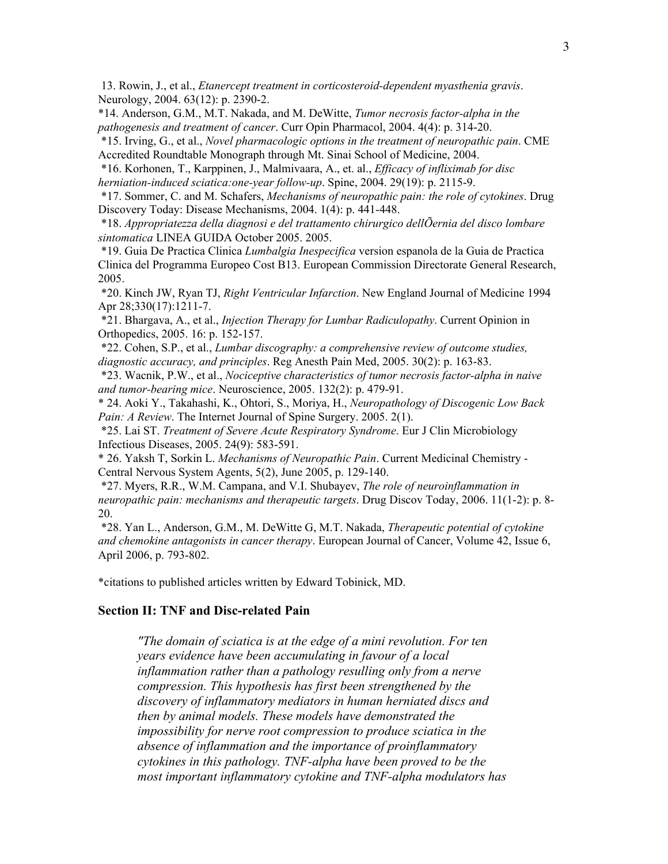13. Rowin, J., et al., *Etanercept treatment in corticosteroid-dependent myasthenia gravis*. Neurology, 2004. 63(12): p. 2390-2.

\*14. Anderson, G.M., M.T. Nakada, and M. DeWitte, *Tumor necrosis factor-alpha in the pathogenesis and treatment of cancer*. Curr Opin Pharmacol, 2004. 4(4): p. 314-20.

 \*15. Irving, G., et al., *Novel pharmacologic options in the treatment of neuropathic pain*. CME Accredited Roundtable Monograph through Mt. Sinai School of Medicine, 2004.

 \*16. Korhonen, T., Karppinen, J., Malmivaara, A., et. al., *Efficacy of infliximab for disc herniation-induced sciatica:one-year follow-up*. Spine, 2004. 29(19): p. 2115-9.

 \*17. Sommer, C. and M. Schafers, *Mechanisms of neuropathic pain: the role of cytokines*. Drug Discovery Today: Disease Mechanisms, 2004. 1(4): p. 441-448.

 \*18. *Appropriatezza della diagnosi e del trattamento chirurgico dellÕernia del disco lombare sintomatica* LINEA GUIDA October 2005. 2005.

 \*19. Guia De Practica Clinica *Lumbalgia Inespecifica* version espanola de la Guia de Practica Clinica del Programma Europeo Cost B13. European Commission Directorate General Research, 2005.

 \*20. Kinch JW, Ryan TJ, *Right Ventricular Infarction*. New England Journal of Medicine 1994 Apr 28;330(17):1211-7.

 \*21. Bhargava, A., et al., *Injection Therapy for Lumbar Radiculopathy*. Current Opinion in Orthopedics, 2005. 16: p. 152-157.

 \*22. Cohen, S.P., et al., *Lumbar discography: a comprehensive review of outcome studies, diagnostic accuracy, and principles*. Reg Anesth Pain Med, 2005. 30(2): p. 163-83.

 \*23. Wacnik, P.W., et al., *Nociceptive characteristics of tumor necrosis factor-alpha in naive and tumor-bearing mice*. Neuroscience, 2005. 132(2): p. 479-91.

\* 24. Aoki Y., Takahashi, K., Ohtori, S., Moriya, H., *Neuropathology of Discogenic Low Back Pain: A Review.* The Internet Journal of Spine Surgery. 2005. 2(1).

 \*25. Lai ST. *Treatment of Severe Acute Respiratory Syndrome*. Eur J Clin Microbiology Infectious Diseases, 2005. 24(9): 583-591.

\* 26. Yaksh T, Sorkin L. *Mechanisms of Neuropathic Pain*. Current Medicinal Chemistry - Central Nervous System Agents, 5(2), June 2005, p. 129-140.

 \*27. Myers, R.R., W.M. Campana, and V.I. Shubayev, *The role of neuroinflammation in neuropathic pain: mechanisms and therapeutic targets*. Drug Discov Today, 2006. 11(1-2): p. 8- 20.

 \*28. Yan L., Anderson, G.M., M. DeWitte G, M.T. Nakada, *Therapeutic potential of cytokine and chemokine antagonists in cancer therapy*. European Journal of Cancer, Volume 42, Issue 6, April 2006, p. 793-802.

\*citations to published articles written by Edward Tobinick, MD.

#### Section II: TNF and Disc-related Pain

*"The domain of sciatica is at the edge of a mini revolution. For ten years evidence have been accumulating in favour of a local inflammation rather than a pathology resulling only from a nerve compression. This hypothesis has first been strengthened by the discovery of inflammatory mediators in human herniated discs and then by animal models. These models have demonstrated the impossibility for nerve root compression to produce sciatica in the absence of inflammation and the importance of proinflammatory cytokines in this pathology. TNF-alpha have been proved to be the most important inflammatory cytokine and TNF-alpha modulators has*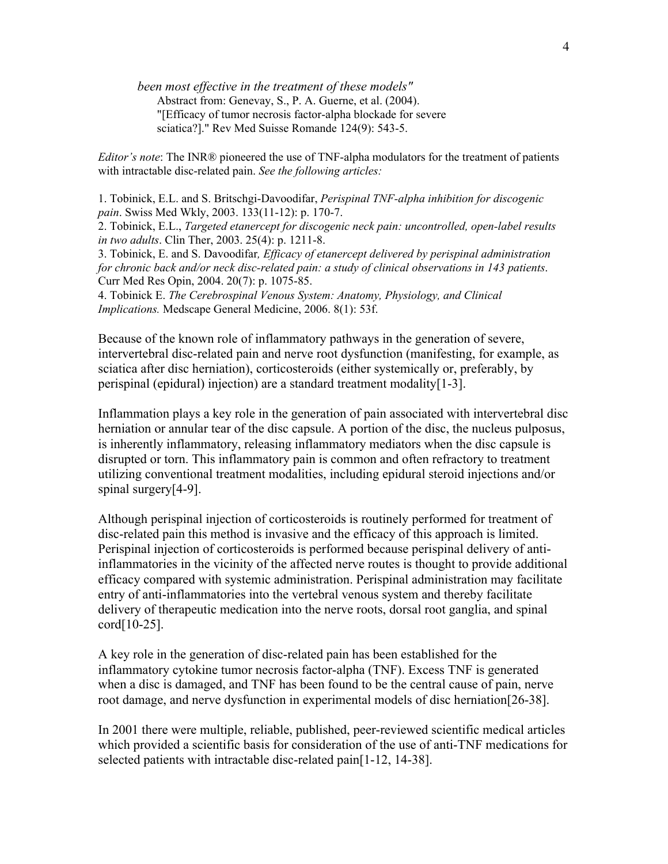*been most effective in the treatment of these models"* Abstract from: Genevay, S., P. A. Guerne, et al. (2004). "[Efficacy of tumor necrosis factor-alpha blockade for severe sciatica?]." Rev Med Suisse Romande 124(9): 543-5.

*Editor's note*: The INR® pioneered the use of TNF-alpha modulators for the treatment of patients with intractable disc-related pain. *See the following articles:*

1. Tobinick, E.L. and S. Britschgi-Davoodifar, *Perispinal TNF-alpha inhibition for discogenic pain*. Swiss Med Wkly, 2003. 133(11-12): p. 170-7.

2. Tobinick, E.L., *Targeted etanercept for discogenic neck pain: uncontrolled, open-label results in two adults*. Clin Ther, 2003. 25(4): p. 1211-8.

3. Tobinick, E. and S. Davoodifar*, Efficacy of etanercept delivered by perispinal administration for chronic back and/or neck disc-related pain: a study of clinical observations in 143 patients*. Curr Med Res Opin, 2004. 20(7): p. 1075-85.

4. Tobinick E. *The Cerebrospinal Venous System: Anatomy, Physiology, and Clinical Implications.* Medscape General Medicine, 2006. 8(1): 53f.

Because of the known role of inflammatory pathways in the generation of severe, intervertebral disc-related pain and nerve root dysfunction (manifesting, for example, as sciatica after disc herniation), corticosteroids (either systemically or, preferably, by perispinal (epidural) injection) are a standard treatment modality[1-3].

Inflammation plays a key role in the generation of pain associated with intervertebral disc herniation or annular tear of the disc capsule. A portion of the disc, the nucleus pulposus, is inherently inflammatory, releasing inflammatory mediators when the disc capsule is disrupted or torn. This inflammatory pain is common and often refractory to treatment utilizing conventional treatment modalities, including epidural steroid injections and/or spinal surgery[4-9].

Although perispinal injection of corticosteroids is routinely performed for treatment of disc-related pain this method is invasive and the efficacy of this approach is limited. Perispinal injection of corticosteroids is performed because perispinal delivery of antiinflammatories in the vicinity of the affected nerve routes is thought to provide additional efficacy compared with systemic administration. Perispinal administration may facilitate entry of anti-inflammatories into the vertebral venous system and thereby facilitate delivery of therapeutic medication into the nerve roots, dorsal root ganglia, and spinal cord[10-25].

A key role in the generation of disc-related pain has been established for the inflammatory cytokine tumor necrosis factor-alpha (TNF). Excess TNF is generated when a disc is damaged, and TNF has been found to be the central cause of pain, nerve root damage, and nerve dysfunction in experimental models of disc herniation[26-38].

In 2001 there were multiple, reliable, published, peer-reviewed scientific medical articles which provided a scientific basis for consideration of the use of anti-TNF medications for selected patients with intractable disc-related pain[1-12, 14-38].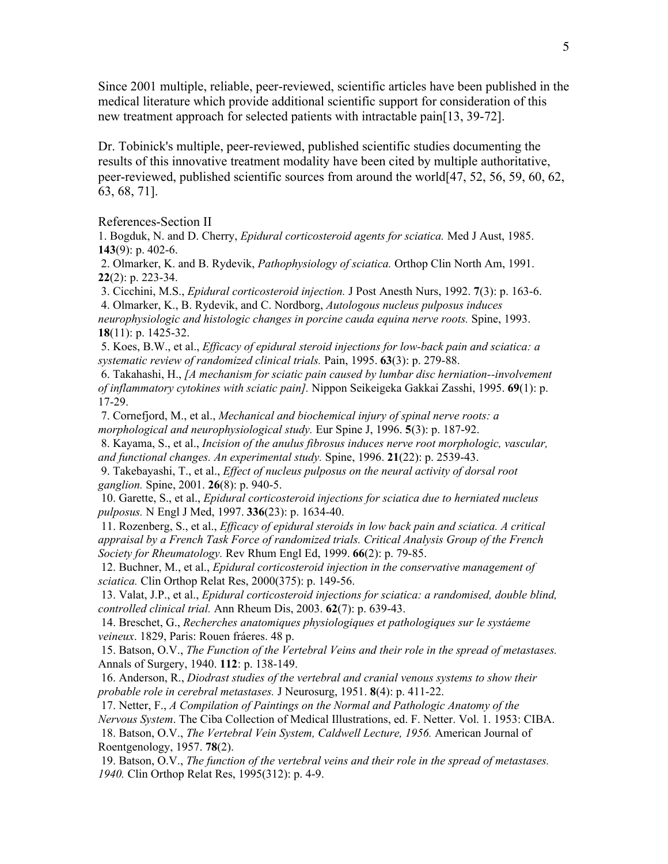Since 2001 multiple, reliable, peer-reviewed, scientific articles have been published in the medical literature which provide additional scientific support for consideration of this new treatment approach for selected patients with intractable pain[13, 39-72].

Dr. Tobinick's multiple, peer-reviewed, published scientific studies documenting the results of this innovative treatment modality have been cited by multiple authoritative, peer-reviewed, published scientific sources from around the world[47, 52, 56, 59, 60, 62, 63, 68, 71].

References-Section II

1. Bogduk, N. and D. Cherry, *Epidural corticosteroid agents for sciatica.* Med J Aust, 1985. 143 $(9)$ : p. 402-6.

 2. Olmarker, K. and B. Rydevik, *Pathophysiology of sciatica.* Orthop Clin North Am, 1991.  $22(2)$ : p. 223-34.

 3. Cicchini, M.S., *Epidural corticosteroid injection.* J Post Anesth Nurs, 1992. 7(3): p. 163-6. 4. Olmarker, K., B. Rydevik, and C. Nordborg, *Autologous nucleus pulposus induces neurophysiologic and histologic changes in porcine cauda equina nerve roots.* Spine, 1993.

18(11): p. 1425-32.

 5. Koes, B.W., et al., *Efficacy of epidural steroid injections for low-back pain and sciatica: a systematic review of randomized clinical trials.* Pain, 1995. 63(3): p. 279-88.

 6. Takahashi, H., *[A mechanism for sciatic pain caused by lumbar disc herniation--involvement of inflammatory cytokines with sciatic pain].* Nippon Seikeigeka Gakkai Zasshi, 1995. 69(1): p. 17-29.

 7. Cornefjord, M., et al., *Mechanical and biochemical injury of spinal nerve roots: a morphological and neurophysiological study.* Eur Spine J, 1996. 5(3): p. 187-92.

 8. Kayama, S., et al., *Incision of the anulus fibrosus induces nerve root morphologic, vascular, and functional changes. An experimental study.* Spine, 1996. 21(22): p. 2539-43.

 9. Takebayashi, T., et al., *Effect of nucleus pulposus on the neural activity of dorsal root ganglion.* Spine, 2001. 26(8): p. 940-5.

 10. Garette, S., et al., *Epidural corticosteroid injections for sciatica due to herniated nucleus pulposus.* N Engl J Med, 1997. 336(23): p. 1634-40.

 11. Rozenberg, S., et al., *Efficacy of epidural steroids in low back pain and sciatica. A critical appraisal by a French Task Force of randomized trials. Critical Analysis Group of the French Society for Rheumatology.* Rev Rhum Engl Ed, 1999. 66(2): p. 79-85.

 12. Buchner, M., et al., *Epidural corticosteroid injection in the conservative management of sciatica.* Clin Orthop Relat Res, 2000(375): p. 149-56.

 13. Valat, J.P., et al., *Epidural corticosteroid injections for sciatica: a randomised, double blind, controlled clinical trial.* Ann Rheum Dis, 2003. 62(7): p. 639-43.

 14. Breschet, G., *Recherches anatomiques physiologiques et pathologiques sur le systáeme veineux*. 1829, Paris: Rouen fráeres. 48 p.

 15. Batson, O.V., *The Function of the Vertebral Veins and their role in the spread of metastases.* Annals of Surgery, 1940. 112: p. 138-149.

 16. Anderson, R., *Diodrast studies of the vertebral and cranial venous systems to show their probable role in cerebral metastases.* J Neurosurg, 1951. 8(4): p. 411-22.

 17. Netter, F., *A Compilation of Paintings on the Normal and Pathologic Anatomy of the Nervous System*. The Ciba Collection of Medical Illustrations, ed. F. Netter. Vol. 1. 1953: CIBA. 18. Batson, O.V., *The Vertebral Vein System, Caldwell Lecture, 1956.* American Journal of Roentgenology, 1957. 78(2).

 19. Batson, O.V., *The function of the vertebral veins and their role in the spread of metastases. 1940.* Clin Orthop Relat Res, 1995(312): p. 4-9.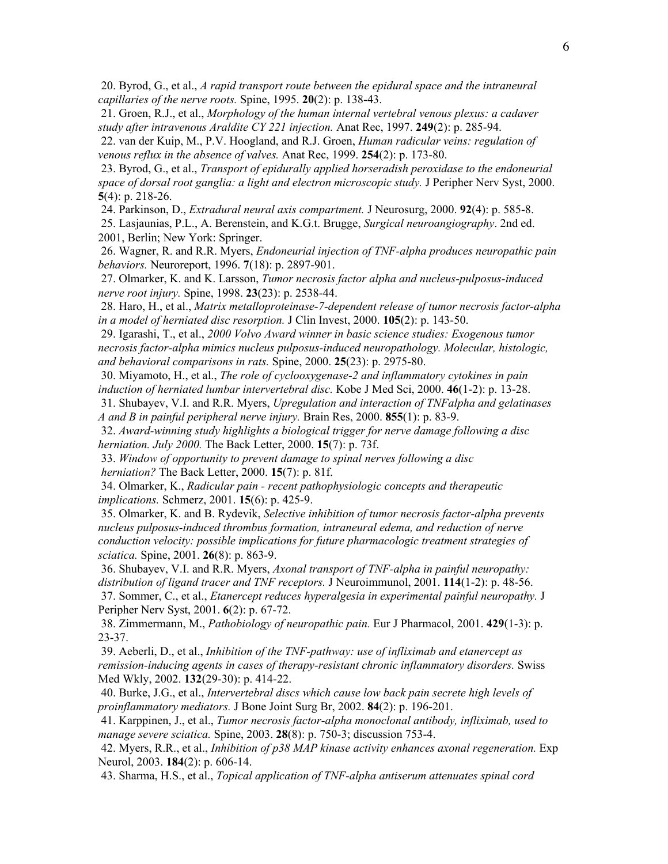20. Byrod, G., et al., *A rapid transport route between the epidural space and the intraneural capillaries of the nerve roots.* Spine, 1995. 20(2): p. 138-43.

 21. Groen, R.J., et al., *Morphology of the human internal vertebral venous plexus: a cadaver study after intravenous Araldite CY 221 injection.* Anat Rec, 1997. 249(2): p. 285-94.

 22. van der Kuip, M., P.V. Hoogland, and R.J. Groen, *Human radicular veins: regulation of venous reflux in the absence of valves.* Anat Rec, 1999. 254(2): p. 173-80.

 23. Byrod, G., et al., *Transport of epidurally applied horseradish peroxidase to the endoneurial space of dorsal root ganglia: a light and electron microscopic study.* J Peripher Nerv Syst, 2000. 5(4): p. 218-26.

 24. Parkinson, D., *Extradural neural axis compartment.* J Neurosurg, 2000. 92(4): p. 585-8. 25. Lasjaunias, P.L., A. Berenstein, and K.G.t. Brugge, *Surgical neuroangiography*. 2nd ed. 2001, Berlin; New York: Springer.

 26. Wagner, R. and R.R. Myers, *Endoneurial injection of TNF-alpha produces neuropathic pain behaviors.* Neuroreport, 1996. 7(18): p. 2897-901.

 27. Olmarker, K. and K. Larsson, *Tumor necrosis factor alpha and nucleus-pulposus-induced nerve root injury.* Spine, 1998. 23(23): p. 2538-44.

 28. Haro, H., et al., *Matrix metalloproteinase-7-dependent release of tumor necrosis factor-alpha in a model of herniated disc resorption.* J Clin Invest, 2000. 105(2): p. 143-50.

 29. Igarashi, T., et al., *2000 Volvo Award winner in basic science studies: Exogenous tumor necrosis factor-alpha mimics nucleus pulposus-induced neuropathology. Molecular, histologic, and behavioral comparisons in rats.* Spine, 2000. 25(23): p. 2975-80.

 30. Miyamoto, H., et al., *The role of cyclooxygenase-2 and inflammatory cytokines in pain induction of herniated lumbar intervertebral disc.* Kobe J Med Sci, 2000. 46(1-2): p. 13-28.

 31. Shubayev, V.I. and R.R. Myers, *Upregulation and interaction of TNFalpha and gelatinases A and B in painful peripheral nerve injury.* Brain Res, 2000. 855(1): p. 83-9.

 32. *Award-winning study highlights a biological trigger for nerve damage following a disc herniation. July 2000.* The Back Letter, 2000. 15(7): p. 73f.

 33. *Window of opportunity to prevent damage to spinal nerves following a disc herniation?* The Back Letter, 2000. 15(7): p. 81f.

 34. Olmarker, K., *Radicular pain - recent pathophysiologic concepts and therapeutic implications.* Schmerz, 2001. 15(6): p. 425-9.

 35. Olmarker, K. and B. Rydevik, *Selective inhibition of tumor necrosis factor-alpha prevents nucleus pulposus-induced thrombus formation, intraneural edema, and reduction of nerve conduction velocity: possible implications for future pharmacologic treatment strategies of sciatica.* Spine, 2001. 26(8): p. 863-9.

 36. Shubayev, V.I. and R.R. Myers, *Axonal transport of TNF-alpha in painful neuropathy: distribution of ligand tracer and TNF receptors.* J Neuroimmunol, 2001. 114(1-2): p. 48-56. 37. Sommer, C., et al., *Etanercept reduces hyperalgesia in experimental painful neuropathy.* J Peripher Nerv Syst, 2001. 6(2): p. 67-72.

 38. Zimmermann, M., *Pathobiology of neuropathic pain.* Eur J Pharmacol, 2001. 429(1-3): p. 23-37.

 39. Aeberli, D., et al., *Inhibition of the TNF-pathway: use of infliximab and etanercept as remission-inducing agents in cases of therapy-resistant chronic inflammatory disorders.* Swiss Med Wkly, 2002. 132(29-30): p. 414-22.

 40. Burke, J.G., et al., *Intervertebral discs which cause low back pain secrete high levels of proinflammatory mediators.* J Bone Joint Surg Br, 2002. 84(2): p. 196-201.

 41. Karppinen, J., et al., *Tumor necrosis factor-alpha monoclonal antibody, infliximab, used to manage severe sciatica.* Spine, 2003. 28(8): p. 750-3; discussion 753-4.

 42. Myers, R.R., et al., *Inhibition of p38 MAP kinase activity enhances axonal regeneration.* Exp Neurol, 2003. 184(2): p. 606-14.

43. Sharma, H.S., et al., *Topical application of TNF-alpha antiserum attenuates spinal cord*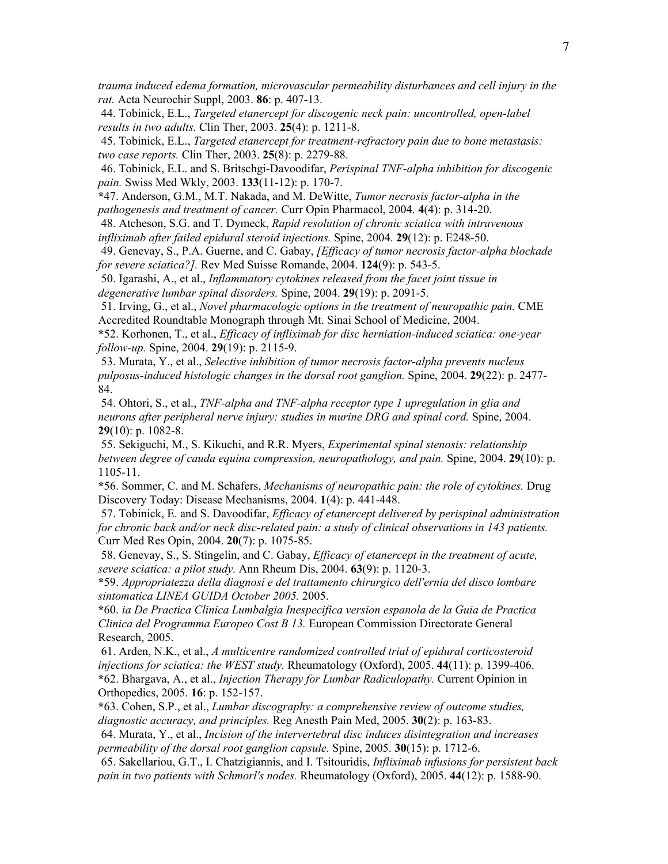*trauma induced edema formation, microvascular permeability disturbances and cell injury in the rat.* Acta Neurochir Suppl, 2003. 86: p. 407-13.

 44. Tobinick, E.L., *Targeted etanercept for discogenic neck pain: uncontrolled, open-label results in two adults.* Clin Ther, 2003. 25(4): p. 1211-8.

 45. Tobinick, E.L., *Targeted etanercept for treatment-refractory pain due to bone metastasis: two case reports.* Clin Ther, 2003. 25(8): p. 2279-88.

 46. Tobinick, E.L. and S. Britschgi-Davoodifar, *Perispinal TNF-alpha inhibition for discogenic pain.* Swiss Med Wkly, 2003. 133(11-12): p. 170-7.

\*47. Anderson, G.M., M.T. Nakada, and M. DeWitte, *Tumor necrosis factor-alpha in the pathogenesis and treatment of cancer.* Curr Opin Pharmacol, 2004. 4(4): p. 314-20.

 48. Atcheson, S.G. and T. Dymeck, *Rapid resolution of chronic sciatica with intravenous infliximab after failed epidural steroid injections.* Spine, 2004. 29(12): p. E248-50.

 49. Genevay, S., P.A. Guerne, and C. Gabay, *[Efficacy of tumor necrosis factor-alpha blockade for severe sciatica?].* Rev Med Suisse Romande, 2004. 124(9): p. 543-5.

 50. Igarashi, A., et al., *Inflammatory cytokines released from the facet joint tissue in degenerative lumbar spinal disorders.* Spine, 2004. 29(19): p. 2091-5.

 51. Irving, G., et al., *Novel pharmacologic options in the treatment of neuropathic pain.* CME Accredited Roundtable Monograph through Mt. Sinai School of Medicine, 2004.

\*52. Korhonen, T., et al., *Efficacy of infliximab for disc herniation-induced sciatica: one-year follow-up.* Spine, 2004. 29(19): p. 2115-9.

 53. Murata, Y., et al., *Selective inhibition of tumor necrosis factor-alpha prevents nucleus pulposus-induced histologic changes in the dorsal root ganglion.* Spine, 2004. 29(22): p. 2477- 84.

 54. Ohtori, S., et al., *TNF-alpha and TNF-alpha receptor type 1 upregulation in glia and neurons after peripheral nerve injury: studies in murine DRG and spinal cord.* Spine, 2004. 29 $(10)$ : p. 1082-8.

 55. Sekiguchi, M., S. Kikuchi, and R.R. Myers, *Experimental spinal stenosis: relationship between degree of cauda equina compression, neuropathology, and pain.* Spine, 2004. 29(10): p. 1105-11.

\*56. Sommer, C. and M. Schafers, *Mechanisms of neuropathic pain: the role of cytokines.* Drug Discovery Today: Disease Mechanisms, 2004. 1(4): p. 441-448.

 57. Tobinick, E. and S. Davoodifar, *Efficacy of etanercept delivered by perispinal administration for chronic back and/or neck disc-related pain: a study of clinical observations in 143 patients.* Curr Med Res Opin, 2004. 20(7): p. 1075-85.

 58. Genevay, S., S. Stingelin, and C. Gabay, *Efficacy of etanercept in the treatment of acute, severe sciatica: a pilot study.* Ann Rheum Dis, 2004. 63(9): p. 1120-3.

\*59. *Appropriatezza della diagnosi e del trattamento chirurgico dell'ernia del disco lombare sintomatica LINEA GUIDA October 2005.* 2005.

\*60. *ia De Practica Clinica Lumbalgia Inespecifica version espanola de la Guia de Practica Clinica del Programma Europeo Cost B 13.* European Commission Directorate General Research, 2005.

 61. Arden, N.K., et al., *A multicentre randomized controlled trial of epidural corticosteroid injections for sciatica: the WEST study.* Rheumatology (Oxford), 2005. 44(11): p. 1399-406. \*62. Bhargava, A., et al., *Injection Therapy for Lumbar Radiculopathy.* Current Opinion in Orthopedics, 2005. 16: p. 152-157.

\*63. Cohen, S.P., et al., *Lumbar discography: a comprehensive review of outcome studies, diagnostic accuracy, and principles.* Reg Anesth Pain Med, 2005. 30(2): p. 163-83.

 64. Murata, Y., et al., *Incision of the intervertebral disc induces disintegration and increases permeability of the dorsal root ganglion capsule.* Spine, 2005. 30(15): p. 1712-6.

 65. Sakellariou, G.T., I. Chatzigiannis, and I. Tsitouridis, *Infliximab infusions for persistent back pain in two patients with Schmorl's nodes.* Rheumatology (Oxford), 2005. 44(12): p. 1588-90.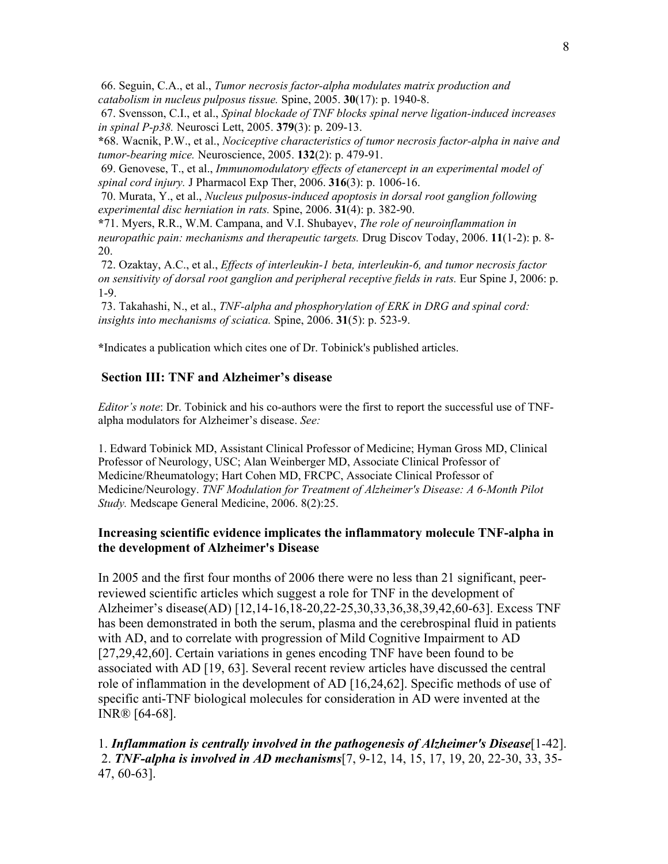66. Seguin, C.A., et al., *Tumor necrosis factor-alpha modulates matrix production and catabolism in nucleus pulposus tissue.* Spine, 2005. 30(17): p. 1940-8.

 67. Svensson, C.I., et al., *Spinal blockade of TNF blocks spinal nerve ligation-induced increases in spinal P-p38.* Neurosci Lett, 2005. 379(3): p. 209-13.

\*68. Wacnik, P.W., et al., *Nociceptive characteristics of tumor necrosis factor-alpha in naive and tumor-bearing mice.* Neuroscience, 2005. 132(2): p. 479-91.

 69. Genovese, T., et al., *Immunomodulatory effects of etanercept in an experimental model of spinal cord injury.* J Pharmacol Exp Ther, 2006. 316(3): p. 1006-16.

 70. Murata, Y., et al., *Nucleus pulposus-induced apoptosis in dorsal root ganglion following experimental disc herniation in rats.* Spine, 2006. 31(4): p. 382-90.

\*71. Myers, R.R., W.M. Campana, and V.I. Shubayev, *The role of neuroinflammation in neuropathic pain: mechanisms and therapeutic targets.* Drug Discov Today, 2006. 11(1-2): p. 8- 20.

 72. Ozaktay, A.C., et al., *Effects of interleukin-1 beta, interleukin-6, and tumor necrosis factor on sensitivity of dorsal root ganglion and peripheral receptive fields in rats.* Eur Spine J, 2006: p. 1-9.

 73. Takahashi, N., et al., *TNF-alpha and phosphorylation of ERK in DRG and spinal cord: insights into mechanisms of sciatica.* Spine, 2006. 31(5): p. 523-9.

\*Indicates a publication which cites one of Dr. Tobinick's published articles.

### Section III: TNF and Alzheimer's disease

*Editor's note*: Dr. Tobinick and his co-authors were the first to report the successful use of TNFalpha modulators for Alzheimer's disease. *See:*

1. Edward Tobinick MD, Assistant Clinical Professor of Medicine; Hyman Gross MD, Clinical Professor of Neurology, USC; Alan Weinberger MD, Associate Clinical Professor of Medicine/Rheumatology; Hart Cohen MD, FRCPC, Associate Clinical Professor of Medicine/Neurology. *TNF Modulation for Treatment of Alzheimer's Disease: A 6-Month Pilot Study.* Medscape General Medicine, 2006. 8(2):25.

### Increasing scientific evidence implicates the inflammatory molecule TNF-alpha in the development of Alzheimer's Disease

In 2005 and the first four months of 2006 there were no less than 21 significant, peerreviewed scientific articles which suggest a role for TNF in the development of Alzheimer's disease(AD) [12,14-16,18-20,22-25,30,33,36,38,39,42,60-63]. Excess TNF has been demonstrated in both the serum, plasma and the cerebrospinal fluid in patients with AD, and to correlate with progression of Mild Cognitive Impairment to AD [27,29,42,60]. Certain variations in genes encoding TNF have been found to be associated with AD [19, 63]. Several recent review articles have discussed the central role of inflammation in the development of AD [16,24,62]. Specific methods of use of specific anti-TNF biological molecules for consideration in AD were invented at the INR® [64-68].

1. *Inflammation is centrally involved in the pathogenesis of Alzheimer's Disease*[1-42]. 2. *TNF-alpha is involved in AD mechanisms*[7, 9-12, 14, 15, 17, 19, 20, 22-30, 33, 35- 47, 60-63].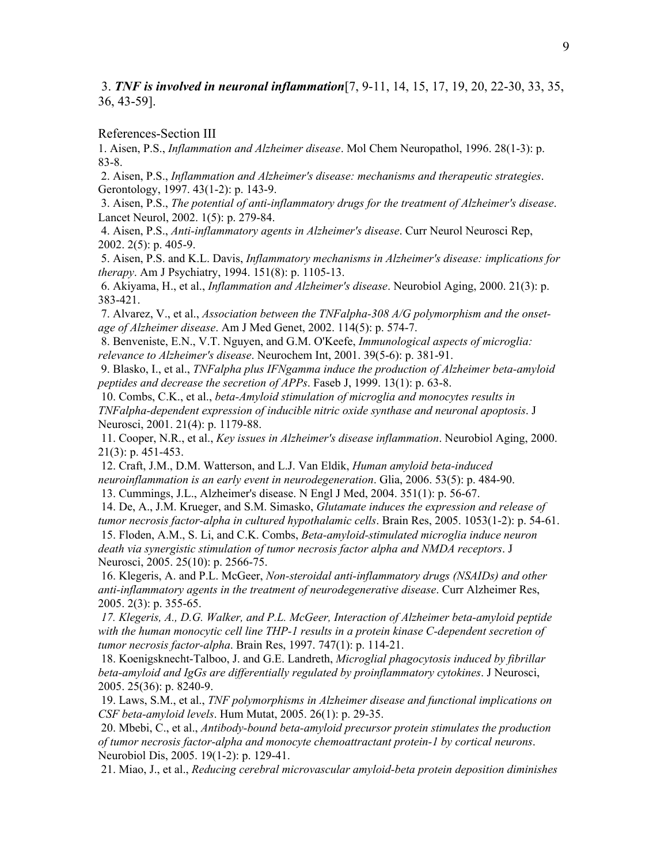3. *TNF is involved in neuronal inflammation*[7, 9-11, 14, 15, 17, 19, 20, 22-30, 33, 35, 36, 43-59].

References-Section III

1. Aisen, P.S., *Inflammation and Alzheimer disease*. Mol Chem Neuropathol, 1996. 28(1-3): p. 83-8.

 2. Aisen, P.S., *Inflammation and Alzheimer's disease: mechanisms and therapeutic strategies*. Gerontology, 1997. 43(1-2): p. 143-9.

 3. Aisen, P.S., *The potential of anti-inflammatory drugs for the treatment of Alzheimer's disease*. Lancet Neurol, 2002. 1(5): p. 279-84.

 4. Aisen, P.S., *Anti-inflammatory agents in Alzheimer's disease*. Curr Neurol Neurosci Rep, 2002. 2(5): p. 405-9.

 5. Aisen, P.S. and K.L. Davis, *Inflammatory mechanisms in Alzheimer's disease: implications for therapy*. Am J Psychiatry, 1994. 151(8): p. 1105-13.

 6. Akiyama, H., et al., *Inflammation and Alzheimer's disease*. Neurobiol Aging, 2000. 21(3): p. 383-421.

 7. Alvarez, V., et al., *Association between the TNFalpha-308 A/G polymorphism and the onsetage of Alzheimer disease*. Am J Med Genet, 2002. 114(5): p. 574-7.

 8. Benveniste, E.N., V.T. Nguyen, and G.M. O'Keefe, *Immunological aspects of microglia: relevance to Alzheimer's disease*. Neurochem Int, 2001. 39(5-6): p. 381-91.

 9. Blasko, I., et al., *TNFalpha plus IFNgamma induce the production of Alzheimer beta-amyloid peptides and decrease the secretion of APPs*. Faseb J, 1999. 13(1): p. 63-8.

 10. Combs, C.K., et al., *beta-Amyloid stimulation of microglia and monocytes results in TNFalpha-dependent expression of inducible nitric oxide synthase and neuronal apoptosis*. J Neurosci, 2001. 21(4): p. 1179-88.

 11. Cooper, N.R., et al., *Key issues in Alzheimer's disease inflammation*. Neurobiol Aging, 2000. 21(3): p. 451-453.

 12. Craft, J.M., D.M. Watterson, and L.J. Van Eldik, *Human amyloid beta-induced neuroinflammation is an early event in neurodegeneration*. Glia, 2006. 53(5): p. 484-90.

13. Cummings, J.L., Alzheimer's disease. N Engl J Med, 2004. 351(1): p. 56-67.

 14. De, A., J.M. Krueger, and S.M. Simasko, *Glutamate induces the expression and release of tumor necrosis factor-alpha in cultured hypothalamic cells*. Brain Res, 2005. 1053(1-2): p. 54-61. 15. Floden, A.M., S. Li, and C.K. Combs, *Beta-amyloid-stimulated microglia induce neuron death via synergistic stimulation of tumor necrosis factor alpha and NMDA receptors*. J Neurosci, 2005. 25(10): p. 2566-75.

 16. Klegeris, A. and P.L. McGeer, *Non-steroidal anti-inflammatory drugs (NSAIDs) and other anti-inflammatory agents in the treatment of neurodegenerative disease*. Curr Alzheimer Res, 2005. 2(3): p. 355-65.

 *17. Klegeris, A., D.G. Walker, and P.L. McGeer, Interaction of Alzheimer beta-amyloid peptide with the human monocytic cell line THP-1 results in a protein kinase C-dependent secretion of tumor necrosis factor-alpha*. Brain Res, 1997. 747(1): p. 114-21.

 18. Koenigsknecht-Talboo, J. and G.E. Landreth, *Microglial phagocytosis induced by fibrillar beta-amyloid and IgGs are differentially regulated by proinflammatory cytokines*. J Neurosci, 2005. 25(36): p. 8240-9.

 19. Laws, S.M., et al., *TNF polymorphisms in Alzheimer disease and functional implications on CSF beta-amyloid levels*. Hum Mutat, 2005. 26(1): p. 29-35.

 20. Mbebi, C., et al., *Antibody-bound beta-amyloid precursor protein stimulates the production of tumor necrosis factor-alpha and monocyte chemoattractant protein-1 by cortical neurons*. Neurobiol Dis, 2005. 19(1-2): p. 129-41.

21. Miao, J., et al., *Reducing cerebral microvascular amyloid-beta protein deposition diminishes*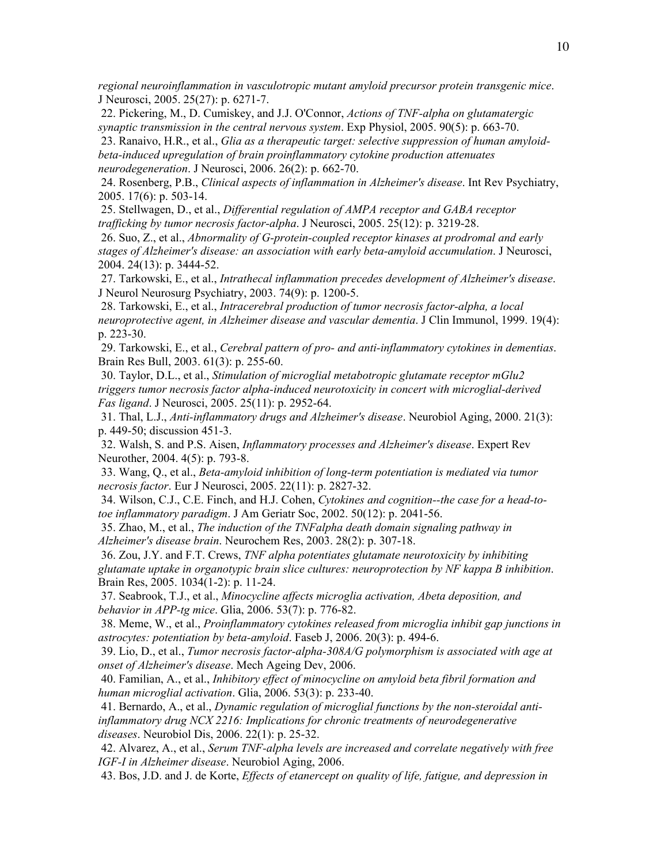*regional neuroinflammation in vasculotropic mutant amyloid precursor protein transgenic mice*. J Neurosci, 2005. 25(27): p. 6271-7.

 22. Pickering, M., D. Cumiskey, and J.J. O'Connor, *Actions of TNF-alpha on glutamatergic synaptic transmission in the central nervous system*. Exp Physiol, 2005. 90(5): p. 663-70.

 23. Ranaivo, H.R., et al., *Glia as a therapeutic target: selective suppression of human amyloidbeta-induced upregulation of brain proinflammatory cytokine production attenuates neurodegeneration*. J Neurosci, 2006. 26(2): p. 662-70.

 24. Rosenberg, P.B., *Clinical aspects of inflammation in Alzheimer's disease*. Int Rev Psychiatry, 2005. 17(6): p. 503-14.

 25. Stellwagen, D., et al., *Differential regulation of AMPA receptor and GABA receptor trafficking by tumor necrosis factor-alpha*. J Neurosci, 2005. 25(12): p. 3219-28.

 26. Suo, Z., et al., *Abnormality of G-protein-coupled receptor kinases at prodromal and early stages of Alzheimer's disease: an association with early beta-amyloid accumulation*. J Neurosci, 2004. 24(13): p. 3444-52.

 27. Tarkowski, E., et al., *Intrathecal inflammation precedes development of Alzheimer's disease*. J Neurol Neurosurg Psychiatry, 2003. 74(9): p. 1200-5.

 28. Tarkowski, E., et al., *Intracerebral production of tumor necrosis factor-alpha, a local neuroprotective agent, in Alzheimer disease and vascular dementia*. J Clin Immunol, 1999. 19(4): p. 223-30.

 29. Tarkowski, E., et al., *Cerebral pattern of pro- and anti-inflammatory cytokines in dementias*. Brain Res Bull, 2003. 61(3): p. 255-60.

 30. Taylor, D.L., et al., *Stimulation of microglial metabotropic glutamate receptor mGlu2 triggers tumor necrosis factor alpha-induced neurotoxicity in concert with microglial-derived Fas ligand*. J Neurosci, 2005. 25(11): p. 2952-64.

 31. Thal, L.J., *Anti-inflammatory drugs and Alzheimer's disease*. Neurobiol Aging, 2000. 21(3): p. 449-50; discussion 451-3.

 32. Walsh, S. and P.S. Aisen, *Inflammatory processes and Alzheimer's disease*. Expert Rev Neurother, 2004. 4(5): p. 793-8.

 33. Wang, Q., et al., *Beta-amyloid inhibition of long-term potentiation is mediated via tumor necrosis factor*. Eur J Neurosci, 2005. 22(11): p. 2827-32.

 34. Wilson, C.J., C.E. Finch, and H.J. Cohen, *Cytokines and cognition--the case for a head-totoe inflammatory paradigm*. J Am Geriatr Soc, 2002. 50(12): p. 2041-56.

 35. Zhao, M., et al., *The induction of the TNFalpha death domain signaling pathway in Alzheimer's disease brain*. Neurochem Res, 2003. 28(2): p. 307-18.

 36. Zou, J.Y. and F.T. Crews, *TNF alpha potentiates glutamate neurotoxicity by inhibiting glutamate uptake in organotypic brain slice cultures: neuroprotection by NF kappa B inhibition*. Brain Res, 2005. 1034(1-2): p. 11-24.

 37. Seabrook, T.J., et al., *Minocycline affects microglia activation, Abeta deposition, and behavior in APP-tg mice*. Glia, 2006. 53(7): p. 776-82.

 38. Meme, W., et al., *Proinflammatory cytokines released from microglia inhibit gap junctions in astrocytes: potentiation by beta-amyloid*. Faseb J, 2006. 20(3): p. 494-6.

 39. Lio, D., et al., *Tumor necrosis factor-alpha-308A/G polymorphism is associated with age at onset of Alzheimer's disease*. Mech Ageing Dev, 2006.

 40. Familian, A., et al., *Inhibitory effect of minocycline on amyloid beta fibril formation and human microglial activation*. Glia, 2006. 53(3): p. 233-40.

 41. Bernardo, A., et al., *Dynamic regulation of microglial functions by the non-steroidal antiinflammatory drug NCX 2216: Implications for chronic treatments of neurodegenerative diseases*. Neurobiol Dis, 2006. 22(1): p. 25-32.

 42. Alvarez, A., et al., *Serum TNF-alpha levels are increased and correlate negatively with free IGF-I in Alzheimer disease*. Neurobiol Aging, 2006.

43. Bos, J.D. and J. de Korte, *Effects of etanercept on quality of life, fatigue, and depression in*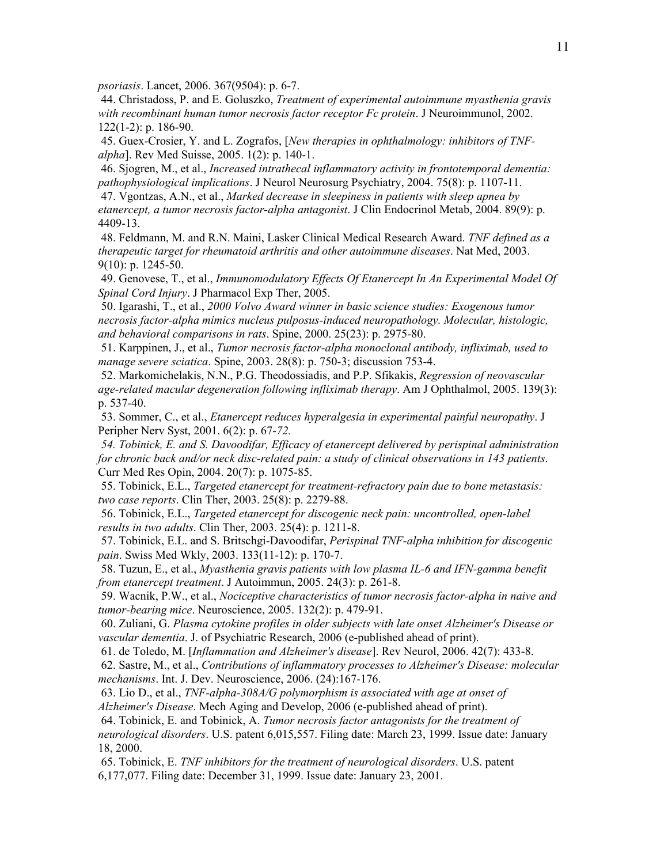*psoriasis*. Lancet, 2006. 367(9504): p. 6-7.

 44. Christadoss, P. and E. Goluszko, *Treatment of experimental autoimmune myasthenia gravis with recombinant human tumor necrosis factor receptor Fc protein*. J Neuroimmunol, 2002. 122(1-2): p. 186-90.

 45. Guex-Crosier, Y. and L. Zografos, [*New therapies in ophthalmology: inhibitors of TNFalpha*]. Rev Med Suisse, 2005. 1(2): p. 140-1.

 46. Sjogren, M., et al., *Increased intrathecal inflammatory activity in frontotemporal dementia: pathophysiological implications*. J Neurol Neurosurg Psychiatry, 2004. 75(8): p. 1107-11.

 47. Vgontzas, A.N., et al., *Marked decrease in sleepiness in patients with sleep apnea by etanercept, a tumor necrosis factor-alpha antagonist*. J Clin Endocrinol Metab, 2004. 89(9): p. 4409-13.

 48. Feldmann, M. and R.N. Maini, Lasker Clinical Medical Research Award. *TNF defined as a therapeutic target for rheumatoid arthritis and other autoimmune diseases*. Nat Med, 2003. 9(10): p. 1245-50.

 49. Genovese, T., et al., *Immunomodulatory Effects Of Etanercept In An Experimental Model Of Spinal Cord Injury*. J Pharmacol Exp Ther, 2005.

 50. Igarashi, T., et al., *2000 Volvo Award winner in basic science studies: Exogenous tumor necrosis factor-alpha mimics nucleus pulposus-induced neuropathology. Molecular, histologic, and behavioral comparisons in rats*. Spine, 2000. 25(23): p. 2975-80.

 51. Karppinen, J., et al., *Tumor necrosis factor-alpha monoclonal antibody, infliximab, used to manage severe sciatica*. Spine, 2003. 28(8): p. 750-3; discussion 753-4.

 52. Markomichelakis, N.N., P.G. Theodossiadis, and P.P. Sfikakis, *Regression of neovascular age-related macular degeneration following infliximab therapy*. Am J Ophthalmol, 2005. 139(3): p. 537-40.

 53. Sommer, C., et al., *Etanercept reduces hyperalgesia in experimental painful neuropathy*. J Peripher Nerv Syst, 2001. 6(2): p. 67-*72.*

 *54. Tobinick, E. and S. Davoodifar, Efficacy of etanercept delivered by perispinal administration for chronic back and/or neck disc-related pain: a study of clinical observations in 143 patients*. Curr Med Res Opin, 2004. 20(7): p. 1075-85.

 55. Tobinick, E.L., *Targeted etanercept for treatment-refractory pain due to bone metastasis: two case reports*. Clin Ther, 2003. 25(8): p. 2279-88.

 56. Tobinick, E.L., *Targeted etanercept for discogenic neck pain: uncontrolled, open-label results in two adults*. Clin Ther, 2003. 25(4): p. 1211-8.

 57. Tobinick, E.L. and S. Britschgi-Davoodifar, *Perispinal TNF-alpha inhibition for discogenic pain*. Swiss Med Wkly, 2003. 133(11-12): p. 170-7.

 58. Tuzun, E., et al., *Myasthenia gravis patients with low plasma IL-6 and IFN-gamma benefit from etanercept treatment*. J Autoimmun, 2005. 24(3): p. 261-8.

 59. Wacnik, P.W., et al., *Nociceptive characteristics of tumor necrosis factor-alpha in naive and tumor-bearing mice*. Neuroscience, 2005. 132(2): p. 479-91.

 60. Zuliani, G. *Plasma cytokine profiles in older subjects with late onset Alzheimer's Disease or vascular dementia*. J. of Psychiatric Research, 2006 (e-published ahead of print).

61. de Toledo, M. [*Inflammation and Alzheimer's disease*]. Rev Neurol, 2006. 42(7): 433-8.

 62. Sastre, M., et al., *Contributions of inflammatory processes to Alzheimer's Disease: molecular mechanisms*. Int. J. Dev. Neuroscience, 2006. (24):167-176.

 63. Lio D., et al., *TNF-alpha-308A/G polymorphism is associated with age at onset of Alzheimer's Disease*. Mech Aging and Develop, 2006 (e-published ahead of print).

 64. Tobinick, E. and Tobinick, A. *Tumor necrosis factor antagonists for the treatment of neurological disorders*. U.S. patent 6,015,557. Filing date: March 23, 1999. Issue date: January 18, 2000.

 65. Tobinick, E. *TNF inhibitors for the treatment of neurological disorders*. U.S. patent 6,177,077. Filing date: December 31, 1999. Issue date: January 23, 2001.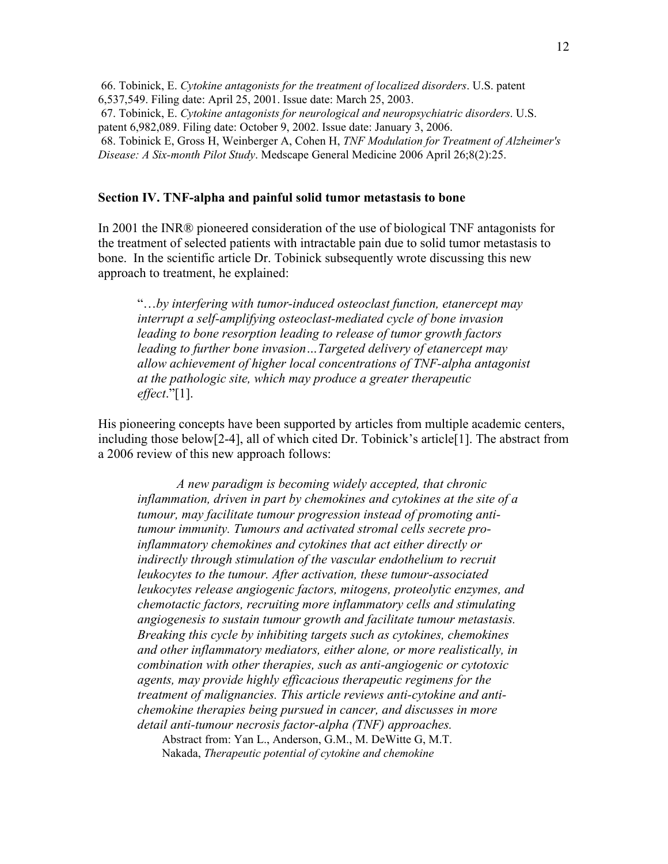66. Tobinick, E. *Cytokine antagonists for the treatment of localized disorders*. U.S. patent 6,537,549. Filing date: April 25, 2001. Issue date: March 25, 2003. 67. Tobinick, E. *Cytokine antagonists for neurological and neuropsychiatric disorders*. U.S. patent 6,982,089. Filing date: October 9, 2002. Issue date: January 3, 2006. 68. Tobinick E, Gross H, Weinberger A, Cohen H, *TNF Modulation for Treatment of Alzheimer's Disease: A Six-month Pilot Study*. Medscape General Medicine 2006 April 26;8(2):25.

### Section IV. TNF-alpha and painful solid tumor metastasis to bone

In 2001 the INR® pioneered consideration of the use of biological TNF antagonists for the treatment of selected patients with intractable pain due to solid tumor metastasis to bone. In the scientific article Dr. Tobinick subsequently wrote discussing this new approach to treatment, he explained:

"…*by interfering with tumor-induced osteoclast function, etanercept may interrupt a self-amplifying osteoclast-mediated cycle of bone invasion leading to bone resorption leading to release of tumor growth factors leading to further bone invasion…Targeted delivery of etanercept may allow achievement of higher local concentrations of TNF-alpha antagonist at the pathologic site, which may produce a greater therapeutic effect*."[1].

His pioneering concepts have been supported by articles from multiple academic centers, including those below[2-4], all of which cited Dr. Tobinick's article[1]. The abstract from a 2006 review of this new approach follows:

*A new paradigm is becoming widely accepted, that chronic inflammation, driven in part by chemokines and cytokines at the site of a tumour, may facilitate tumour progression instead of promoting antitumour immunity. Tumours and activated stromal cells secrete proinflammatory chemokines and cytokines that act either directly or indirectly through stimulation of the vascular endothelium to recruit leukocytes to the tumour. After activation, these tumour-associated leukocytes release angiogenic factors, mitogens, proteolytic enzymes, and chemotactic factors, recruiting more inflammatory cells and stimulating angiogenesis to sustain tumour growth and facilitate tumour metastasis. Breaking this cycle by inhibiting targets such as cytokines, chemokines and other inflammatory mediators, either alone, or more realistically, in combination with other therapies, such as anti-angiogenic or cytotoxic agents, may provide highly efficacious therapeutic regimens for the treatment of malignancies. This article reviews anti-cytokine and antichemokine therapies being pursued in cancer, and discusses in more detail anti-tumour necrosis factor-alpha (TNF) approaches.* Abstract from: Yan L., Anderson, G.M., M. DeWitte G, M.T. Nakada, *Therapeutic potential of cytokine and chemokine*